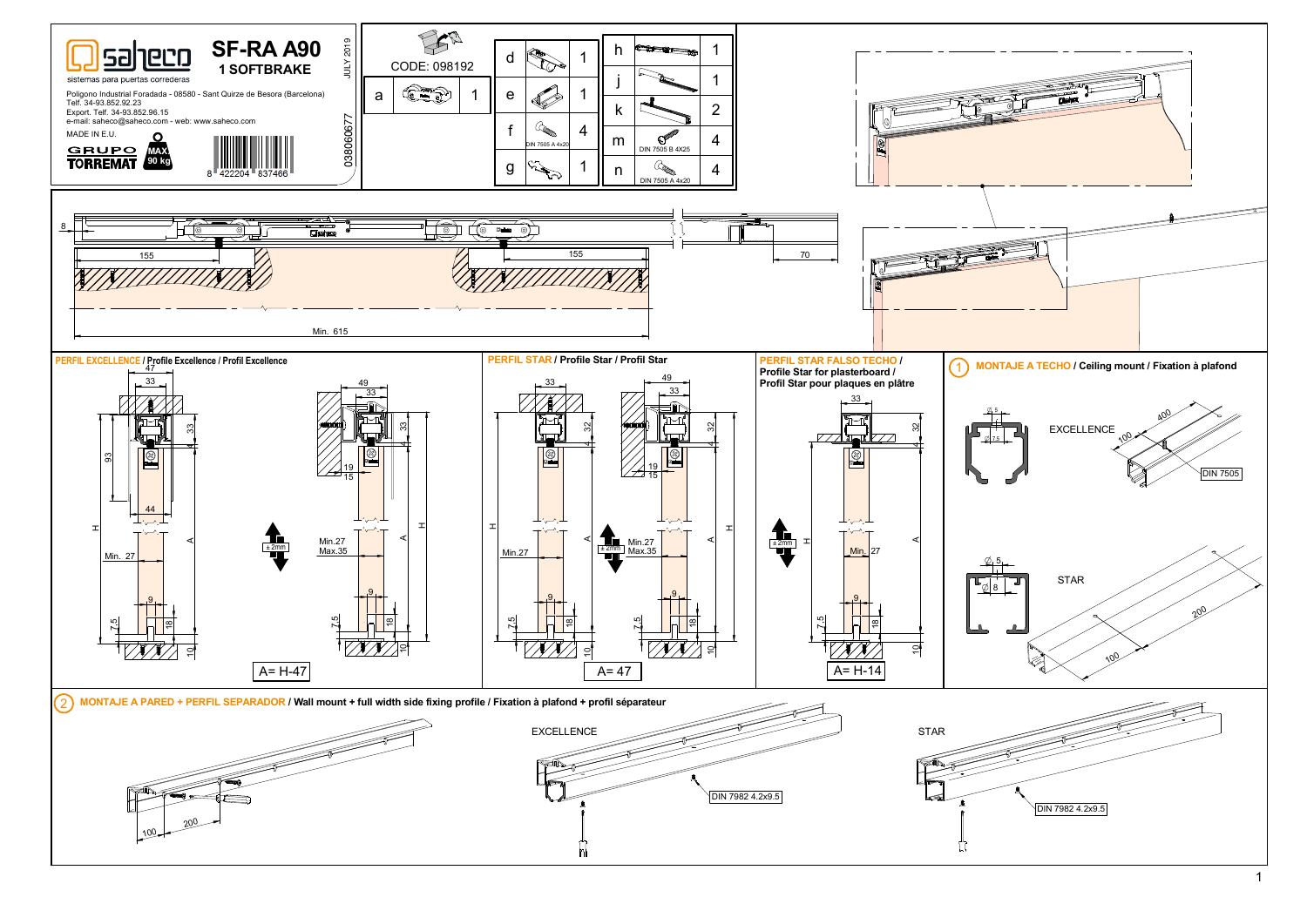